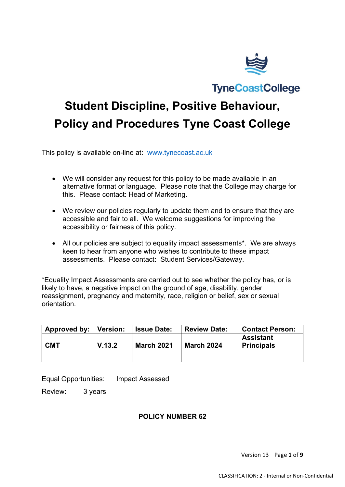

**TyneCoastCollege** 

# **Student Discipline, Positive Behaviour, Policy and Procedures Tyne Coast College**

This policy is available on-line at: [www.tynecoast.ac.uk](http://www.tynecoast.ac.uk/) 

- We will consider any request for this policy to be made available in an alternative format or language. Please note that the College may charge for this. Please contact: Head of Marketing.
- We review our policies regularly to update them and to ensure that they are accessible and fair to all. We welcome suggestions for improving the accessibility or fairness of this policy.
- All our policies are subject to equality impact assessments\*. We are always keen to hear from anyone who wishes to contribute to these impact assessments. Please contact: Student Services/Gateway.

\*Equality Impact Assessments are carried out to see whether the policy has, or is likely to have, a negative impact on the ground of age, disability, gender reassignment, pregnancy and maternity, race, religion or belief, sex or sexual orientation.

| Approved by: | <b>Version:</b> | <b>Issue Date:</b> | <b>Review Date:</b> | <b>Contact Person:</b>                |
|--------------|-----------------|--------------------|---------------------|---------------------------------------|
| <b>CMT</b>   | V.13.2          | <b>March 2021</b>  | <b>March 2024</b>   | <b>Assistant</b><br><b>Principals</b> |

Equal Opportunities: Impact Assessed

Review: 3 years

## **POLICY NUMBER 62**

Version 13 Page **1** of **9**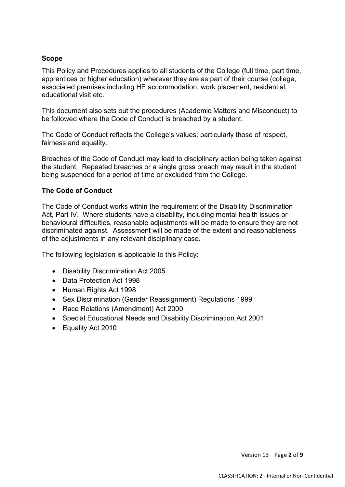#### **Scope**

This Policy and Procedures applies to all students of the College (full time, part time, apprentices or higher education) wherever they are as part of their course (college, associated premises including HE accommodation, work placement, residential, educational visit etc.

This document also sets out the procedures (Academic Matters and Misconduct) to be followed where the Code of Conduct is breached by a student.

The Code of Conduct reflects the College's values; particularly those of respect, fairness and equality.

Breaches of the Code of Conduct may lead to disciplinary action being taken against the student. Repeated breaches or a single gross breach may result in the student being suspended for a period of time or excluded from the College.

#### **The Code of Conduct**

The Code of Conduct works within the requirement of the Disability Discrimination Act, Part IV. Where students have a disability, including mental health issues or behavioural difficulties, reasonable adjustments will be made to ensure they are not discriminated against. Assessment will be made of the extent and reasonableness of the adjustments in any relevant disciplinary case.

The following legislation is applicable to this Policy:

- Disability Discrimination Act 2005
- Data Protection Act 1998
- Human Rights Act 1998
- Sex Discrimination (Gender Reassignment) Regulations 1999
- Race Relations (Amendment) Act 2000
- Special Educational Needs and Disability Discrimination Act 2001
- Equality Act 2010

Version 13 Page **2** of **9**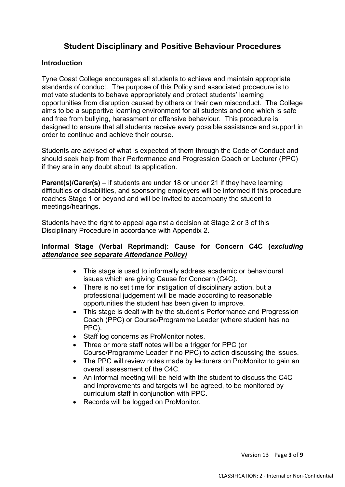# **Student Disciplinary and Positive Behaviour Procedures**

### **Introduction**

Tyne Coast College encourages all students to achieve and maintain appropriate standards of conduct. The purpose of this Policy and associated procedure is to motivate students to behave appropriately and protect students' learning opportunities from disruption caused by others or their own misconduct. The College aims to be a supportive learning environment for all students and one which is safe and free from bullying, harassment or offensive behaviour. This procedure is designed to ensure that all students receive every possible assistance and support in order to continue and achieve their course.

Students are advised of what is expected of them through the Code of Conduct and should seek help from their Performance and Progression Coach or Lecturer (PPC) if they are in any doubt about its application.

**Parent(s)/Carer(s)** – if students are under 18 or under 21 if they have learning difficulties or disabilities, and sponsoring employers will be informed if this procedure reaches Stage 1 or beyond and will be invited to accompany the student to meetings/hearings.

Students have the right to appeal against a decision at Stage 2 or 3 of this Disciplinary Procedure in accordance with Appendix 2.

#### **Informal Stage (Verbal Reprimand): Cause for Concern C4C (***excluding attendance see separate Attendance Policy)*

- This stage is used to informally address academic or behavioural issues which are giving Cause for Concern (C4C).
- There is no set time for instigation of disciplinary action, but a professional judgement will be made according to reasonable opportunities the student has been given to improve.
- This stage is dealt with by the student's Performance and Progression Coach (PPC) or Course/Programme Leader (where student has no PPC).
- Staff log concerns as ProMonitor notes.
- Three or more staff notes will be a trigger for PPC (or Course/Programme Leader if no PPC) to action discussing the issues.
- The PPC will review notes made by lecturers on ProMonitor to gain an overall assessment of the C4C.
- An informal meeting will be held with the student to discuss the C4C and improvements and targets will be agreed, to be monitored by curriculum staff in conjunction with PPC.
- Records will be logged on ProMonitor.

Version 13 Page **3** of **9**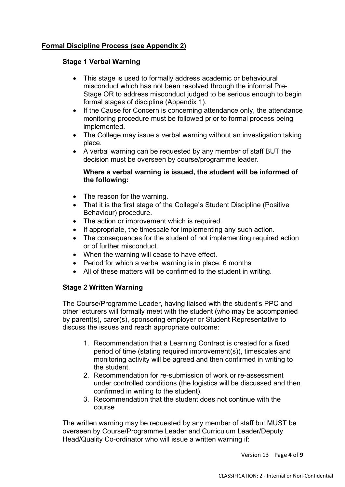## **Formal Discipline Process (see Appendix 2)**

## **Stage 1 Verbal Warning**

- This stage is used to formally address academic or behavioural misconduct which has not been resolved through the informal Pre-Stage OR to address misconduct judged to be serious enough to begin formal stages of discipline (Appendix 1).
- If the Cause for Concern is concerning attendance only, the attendance monitoring procedure must be followed prior to formal process being implemented.
- The College may issue a verbal warning without an investigation taking place.
- A verbal warning can be requested by any member of staff BUT the decision must be overseen by course/programme leader.

#### **Where a verbal warning is issued, the student will be informed of the following:**

- The reason for the warning.
- That it is the first stage of the College's Student Discipline (Positive Behaviour) procedure.
- The action or improvement which is required.
- If appropriate, the timescale for implementing any such action.
- The consequences for the student of not implementing required action or of further misconduct.
- When the warning will cease to have effect.
- Period for which a verbal warning is in place: 6 months
- All of these matters will be confirmed to the student in writing.

## **Stage 2 Written Warning**

The Course/Programme Leader, having liaised with the student's PPC and other lecturers will formally meet with the student (who may be accompanied by parent(s), carer(s), sponsoring employer or Student Representative to discuss the issues and reach appropriate outcome:

- 1. Recommendation that a Learning Contract is created for a fixed period of time (stating required improvement(s)), timescales and monitoring activity will be agreed and then confirmed in writing to the student.
- 2. Recommendation for re-submission of work or re-assessment under controlled conditions (the logistics will be discussed and then confirmed in writing to the student).
- 3. Recommendation that the student does not continue with the course

The written warning may be requested by any member of staff but MUST be overseen by Course/Programme Leader and Curriculum Leader/Deputy Head/Quality Co-ordinator who will issue a written warning if:

Version 13 Page **4** of **9**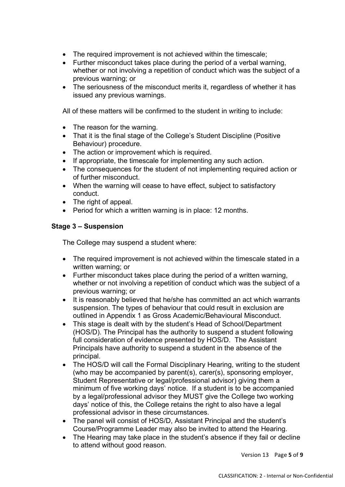- The required improvement is not achieved within the timescale;
- Further misconduct takes place during the period of a verbal warning, whether or not involving a repetition of conduct which was the subject of a previous warning; or
- The seriousness of the misconduct merits it, regardless of whether it has issued any previous warnings.

All of these matters will be confirmed to the student in writing to include:

- The reason for the warning.
- That it is the final stage of the College's Student Discipline (Positive Behaviour) procedure.
- The action or improvement which is required.
- If appropriate, the timescale for implementing any such action.
- The consequences for the student of not implementing required action or of further misconduct.
- When the warning will cease to have effect, subject to satisfactory conduct.
- The right of appeal.
- Period for which a written warning is in place: 12 months.

## **Stage 3 – Suspension**

The College may suspend a student where:

- The required improvement is not achieved within the timescale stated in a written warning; or
- Further misconduct takes place during the period of a written warning, whether or not involving a repetition of conduct which was the subject of a previous warning; or
- It is reasonably believed that he/she has committed an act which warrants suspension. The types of behaviour that could result in exclusion are outlined in Appendix 1 as Gross Academic/Behavioural Misconduct.
- This stage is dealt with by the student's Head of School/Department (HOS/D). The Principal has the authority to suspend a student following full consideration of evidence presented by HOS/D. The Assistant Principals have authority to suspend a student in the absence of the principal.
- The HOS/D will call the Formal Disciplinary Hearing, writing to the student (who may be accompanied by parent(s), carer(s), sponsoring employer, Student Representative or legal/professional advisor) giving them a minimum of five working days' notice. If a student is to be accompanied by a legal/professional advisor they MUST give the College two working days' notice of this, the College retains the right to also have a legal professional advisor in these circumstances.
- The panel will consist of HOS/D, Assistant Principal and the student's Course/Programme Leader may also be invited to attend the Hearing.
- The Hearing may take place in the student's absence if they fail or decline to attend without good reason.

Version 13 Page **5** of **9**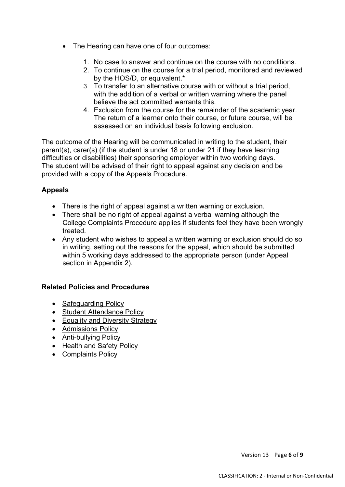- The Hearing can have one of four outcomes:
	- 1. No case to answer and continue on the course with no conditions.
	- 2. To continue on the course for a trial period, monitored and reviewed by the HOS/D, or equivalent.\*
	- 3. To transfer to an alternative course with or without a trial period, with the addition of a verbal or written warning where the panel believe the act committed warrants this.
	- 4. Exclusion from the course for the remainder of the academic year. The return of a learner onto their course, or future course, will be assessed on an individual basis following exclusion.

The outcome of the Hearing will be communicated in writing to the student, their parent(s), carer(s) (if the student is under 18 or under 21 if they have learning difficulties or disabilities) their sponsoring employer within two working days. The student will be advised of their right to appeal against any decision and be provided with a copy of the Appeals Procedure.

## **Appeals**

- There is the right of appeal against a written warning or exclusion.
- There shall be no right of appeal against a verbal warning although the College Complaints Procedure applies if students feel they have been wrongly treated.
- Any student who wishes to appeal a written warning or exclusion should do so in writing, setting out the reasons for the appeal, which should be submitted within 5 working days addressed to the appropriate person (under Appeal section in Appendix 2).

## **Related Policies and Procedures**

- Safeguarding Policy
- Student Attendance Policy
- Equality and Diversity Strategy
- Admissions Policy
- Anti-bullying Policy
- Health and Safety Policy
- Complaints Policy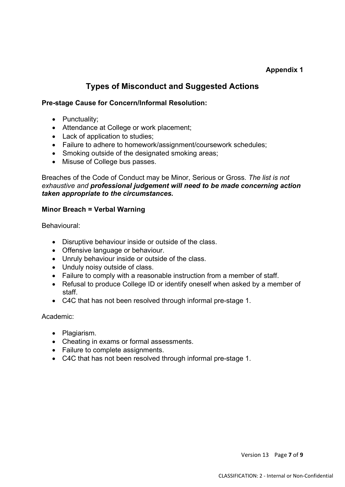## **Appendix 1**

# **Types of Misconduct and Suggested Actions**

### **Pre-stage Cause for Concern/Informal Resolution:**

- Punctuality;
- Attendance at College or work placement;
- Lack of application to studies;
- Failure to adhere to homework/assignment/coursework schedules;
- Smoking outside of the designated smoking areas;
- Misuse of College bus passes.

Breaches of the Code of Conduct may be Minor, Serious or Gross. *The list is not exhaustive and professional judgement will need to be made concerning action taken appropriate to the circumstances.*

#### **Minor Breach = Verbal Warning**

Behavioural:

- Disruptive behaviour inside or outside of the class.
- Offensive language or behaviour.
- Unruly behaviour inside or outside of the class.
- Unduly noisy outside of class.
- Failure to comply with a reasonable instruction from a member of staff.
- Refusal to produce College ID or identify oneself when asked by a member of staff.
- C4C that has not been resolved through informal pre-stage 1.

#### Academic:

- Plagiarism.
- Cheating in exams or formal assessments.
- Failure to complete assignments.
- C4C that has not been resolved through informal pre-stage 1.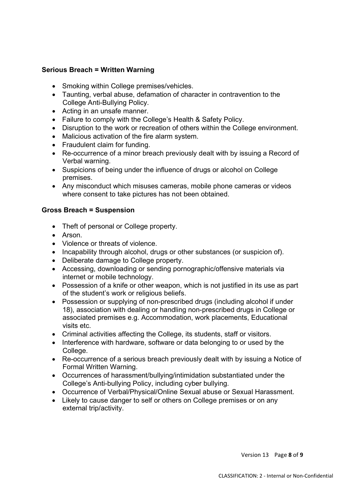## **Serious Breach = Written Warning**

- Smoking within College premises/vehicles.
- Taunting, verbal abuse, defamation of character in contravention to the College Anti-Bullying Policy.
- Acting in an unsafe manner.
- Failure to comply with the College's Health & Safety Policy.
- Disruption to the work or recreation of others within the College environment.
- Malicious activation of the fire alarm system.
- Fraudulent claim for funding.
- Re-occurrence of a minor breach previously dealt with by issuing a Record of Verbal warning.
- Suspicions of being under the influence of drugs or alcohol on College premises.
- Any misconduct which misuses cameras, mobile phone cameras or videos where consent to take pictures has not been obtained.

#### **Gross Breach = Suspension**

- Theft of personal or College property.
- Arson.
- Violence or threats of violence.
- Incapability through alcohol, drugs or other substances (or suspicion of).
- Deliberate damage to College property.
- Accessing, downloading or sending pornographic/offensive materials via internet or mobile technology.
- Possession of a knife or other weapon, which is not justified in its use as part of the student's work or religious beliefs.
- Possession or supplying of non-prescribed drugs (including alcohol if under 18), association with dealing or handling non-prescribed drugs in College or associated premises e.g. Accommodation, work placements, Educational visits etc.
- Criminal activities affecting the College, its students, staff or visitors.
- Interference with hardware, software or data belonging to or used by the College.
- Re-occurrence of a serious breach previously dealt with by issuing a Notice of Formal Written Warning.
- Occurrences of harassment/bullying/intimidation substantiated under the College's Anti-bullying Policy, including cyber bullying.
- Occurrence of Verbal/Physical/Online Sexual abuse or Sexual Harassment.
- Likely to cause danger to self or others on College premises or on any external trip/activity.

Version 13 Page **8** of **9**